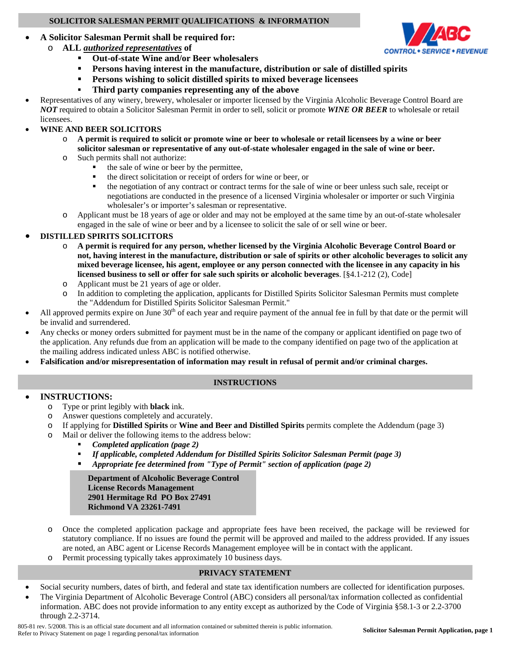#### **SOLICITOR SALESMAN PERMIT QUALIFICATIONS & INFORMATION**

## • **A Solicitor Salesman Permit shall be required for:**

- o **ALL** *authorized representatives* **of** 
	- **Out-of-state Wine and/or Beer wholesalers**
	- **Persons having interest in the manufacture, distribution or sale of distilled spirits**
	- **Persons wishing to solicit distilled spirits to mixed beverage licensees**
	- **Third party companies representing any of the above**
- Representatives of any winery, brewery, wholesaler or importer licensed by the Virginia Alcoholic Beverage Control Board are *NOT* required to obtain a Solicitor Salesman Permit in order to sell, solicit or promote *WINE OR BEER* to wholesale or retail licensees.

### • **WINE AND BEER SOLICITORS**

- o **A permit is required to solicit or promote wine or beer to wholesale or retail licensees by a wine or beer solicitor salesman or representative of any out-of-state wholesaler engaged in the sale of wine or beer.**
- o Such permits shall not authorize:
	- the sale of wine or beer by the permittee,
	- the direct solicitation or receipt of orders for wine or beer, or
	- the negotiation of any contract or contract terms for the sale of wine or beer unless such sale, receipt or negotiations are conducted in the presence of a licensed Virginia wholesaler or importer or such Virginia wholesaler's or importer's salesman or representative.
- o Applicant must be 18 years of age or older and may not be employed at the same time by an out-of-state wholesaler engaged in the sale of wine or beer and by a licensee to solicit the sale of or sell wine or beer.

### • **DISTILLED SPIRITS SOLICITORS**

- o **A permit is required for any person, whether licensed by the Virginia Alcoholic Beverage Control Board or not, having interest in the manufacture, distribution or sale of spirits or other alcoholic beverages to solicit any mixed beverage licensee, his agent, employee or any person connected with the licensee in any capacity in his licensed business to sell or offer for sale such spirits or alcoholic beverages**. [§4.1-212 (2), Code]
- o Applicant must be 21 years of age or older.
- o In addition to completing the application, applicants for Distilled Spirits Solicitor Salesman Permits must complete the "Addendum for Distilled Spirits Solicitor Salesman Permit."
- All approved permits expire on June  $30<sup>th</sup>$  of each year and require payment of the annual fee in full by that date or the permit will be invalid and surrendered.
- Any checks or money orders submitted for payment must be in the name of the company or applicant identified on page two of the application. Any refunds due from an application will be made to the company identified on page two of the application at the mailing address indicated unless ABC is notified otherwise.
- **Falsification and/or misrepresentation of information may result in refusal of permit and/or criminal charges.**

#### **INSTRUCTIONS**

#### • **INSTRUCTIONS:**

- o Type or print legibly with **black** ink.
- o Answer questions completely and accurately.
- o If applying for **Distilled Spirits** or **Wine and Beer and Distilled Spirits** permits complete the Addendum (page 3)
- o Mail or deliver the following items to the address below:
	- *Completed application (page 2)*
	- *If applicable, completed Addendum for Distilled Spirits Solicitor Salesman Permit (page 3)*
	- *Appropriate fee determined from "Type of Permit" section of application (page 2)*

**Department of Alcoholic Beverage Control License Records Management 2901 Hermitage Rd PO Box 27491 Richmond VA 23261-7491** 

- o Once the completed application package and appropriate fees have been received, the package will be reviewed for statutory compliance. If no issues are found the permit will be approved and mailed to the address provided. If any issues are noted, an ABC agent or License Records Management employee will be in contact with the applicant.
- o Permit processing typically takes approximately 10 business days.

#### **PRIVACY STATEMENT**

- Social security numbers, dates of birth, and federal and state tax identification numbers are collected for identification purposes.
- The Virginia Department of Alcoholic Beverage Control (ABC) considers all personal/tax information collected as confidential information. ABC does not provide information to any entity except as authorized by the Code of Virginia §58.1-3 or 2.2-3700 through 2.2-3714.

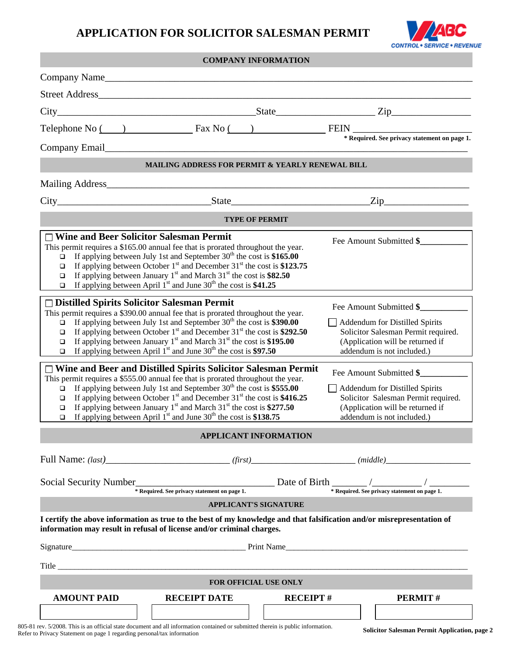# **APPLICATION FOR SOLICITOR SALESMAN PERMIT**



|                                                                                                                                                                                                                                                                                                                                                                                                                                                                                                                                           |                     | <b>COMPANY INFORMATION</b>   |                                                                                                                                                                    |                                                                                                                                                                           |  |
|-------------------------------------------------------------------------------------------------------------------------------------------------------------------------------------------------------------------------------------------------------------------------------------------------------------------------------------------------------------------------------------------------------------------------------------------------------------------------------------------------------------------------------------------|---------------------|------------------------------|--------------------------------------------------------------------------------------------------------------------------------------------------------------------|---------------------------------------------------------------------------------------------------------------------------------------------------------------------------|--|
| Company Name                                                                                                                                                                                                                                                                                                                                                                                                                                                                                                                              |                     |                              |                                                                                                                                                                    |                                                                                                                                                                           |  |
| Street Address                                                                                                                                                                                                                                                                                                                                                                                                                                                                                                                            |                     |                              |                                                                                                                                                                    |                                                                                                                                                                           |  |
| $City$ $City$ $Zip$ $Type$                                                                                                                                                                                                                                                                                                                                                                                                                                                                                                                |                     |                              |                                                                                                                                                                    |                                                                                                                                                                           |  |
| Telephone No $\overline{() \qquad \qquad}$ Fax No $\overline{() \qquad \qquad}$ FEIN $\overline{')^* \text{Required. See privacy statement on page 1.}}$                                                                                                                                                                                                                                                                                                                                                                                  |                     |                              |                                                                                                                                                                    |                                                                                                                                                                           |  |
| Company Email<br><u>Letter</u> and the company of the company of the company of the company of the company of the company of the company of the company of the company of the company of the company of the company of the company of                                                                                                                                                                                                                                                                                                     |                     |                              |                                                                                                                                                                    |                                                                                                                                                                           |  |
| <b>MAILING ADDRESS FOR PERMIT &amp; YEARLY RENEWAL BILL</b>                                                                                                                                                                                                                                                                                                                                                                                                                                                                               |                     |                              |                                                                                                                                                                    |                                                                                                                                                                           |  |
|                                                                                                                                                                                                                                                                                                                                                                                                                                                                                                                                           |                     |                              |                                                                                                                                                                    |                                                                                                                                                                           |  |
| $City$ $State$ $State$                                                                                                                                                                                                                                                                                                                                                                                                                                                                                                                    |                     |                              |                                                                                                                                                                    | $\text{Zip}\_$                                                                                                                                                            |  |
| <b>TYPE OF PERMIT</b>                                                                                                                                                                                                                                                                                                                                                                                                                                                                                                                     |                     |                              |                                                                                                                                                                    |                                                                                                                                                                           |  |
| □ Wine and Beer Solicitor Salesman Permit<br>Fee Amount Submitted \$<br>This permit requires a \$165.00 annual fee that is prorated throughout the year.<br>If applying between July 1st and September $30th$ the cost is \$165.00<br>$\Box$<br>If applying between October $1st$ and December 31 <sup>st</sup> the cost is \$123.75<br>$\Box$<br>If applying between January 1 <sup>st</sup> and March $31st$ the cost is \$82.50<br>$\Box$<br>If applying between April $1st$ and June 30 <sup>th</sup> the cost is \$41.25<br>$\Box$   |                     |                              |                                                                                                                                                                    |                                                                                                                                                                           |  |
| $\Box$ Distilled Spirits Solicitor Salesman Permit<br>This permit requires a \$390.00 annual fee that is prorated throughout the year.<br>If applying between July 1st and September $30th$ the cost is \$390.00<br>If applying between October $1st$ and December 31 <sup>st</sup> the cost is \$292.50<br>$\Box$<br>If applying between January 1 <sup>st</sup> and March $31st$ the cost is \$195.00<br>❏<br>If applying between April $1st$ and June 30 <sup>th</sup> the cost is \$97.50<br>$\Box$                                   |                     |                              |                                                                                                                                                                    | Fee Amount Submitted \$<br>$\Box$ Addendum for Distilled Spirits<br>Solicitor Salesman Permit required.<br>(Application will be returned if<br>addendum is not included.) |  |
| $\Box$ Wine and Beer and Distilled Spirits Solicitor Salesman Permit<br>This permit requires a \$555.00 annual fee that is prorated throughout the year.<br>If applying between July 1st and September $30th$ the cost is \$555.00<br>$\Box$<br>If applying between October $1st$ and December 31 <sup>st</sup> the cost is \$416.25<br>$\Box$<br>If applying between January 1 <sup>st</sup> and March $31st$ the cost is \$277.50<br>$\Box$<br>If applying between April $1st$ and June 30 <sup>th</sup> the cost is \$138.75<br>$\Box$ |                     |                              | Fee Amount Submitted \$<br>Addendum for Distilled Spirits<br>Solicitor Salesman Permit required.<br>(Application will be returned if<br>addendum is not included.) |                                                                                                                                                                           |  |
| <b>APPLICANT INFORMATION</b>                                                                                                                                                                                                                                                                                                                                                                                                                                                                                                              |                     |                              |                                                                                                                                                                    |                                                                                                                                                                           |  |
|                                                                                                                                                                                                                                                                                                                                                                                                                                                                                                                                           |                     |                              |                                                                                                                                                                    |                                                                                                                                                                           |  |
| Social Security Number $\frac{1}{\sqrt{1-\frac{1}{\sqrt{1-\frac{1}{\sqrt{1-\frac{1}{\sqrt{1-\frac{1}{\sqrt{1-\frac{1}{\sqrt{1-\frac{1}{\sqrt{1-\frac{1}{\sqrt{1-\frac{1}{\sqrt{1-\frac{1}{\sqrt{1-\frac{1}{\sqrt{1-\frac{1}{\sqrt{1-\frac{1}{\sqrt{1-\frac{1}{\sqrt{1-\frac{1}{\sqrt{1-\frac{1}{\sqrt{1-\frac{1}{\sqrt{1-\frac{1}{\sqrt{1-\frac{1}{\sqrt{1-\frac{1}{\sqrt{1-\frac{1}{\sqrt{1-\frac{1}{\sqrt{$                                                                                                                             |                     |                              |                                                                                                                                                                    |                                                                                                                                                                           |  |
|                                                                                                                                                                                                                                                                                                                                                                                                                                                                                                                                           |                     | <b>APPLICANT'S SIGNATURE</b> |                                                                                                                                                                    |                                                                                                                                                                           |  |
| I certify the above information as true to the best of my knowledge and that falsification and/or misrepresentation of<br>information may result in refusal of license and/or criminal charges.                                                                                                                                                                                                                                                                                                                                           |                     |                              |                                                                                                                                                                    |                                                                                                                                                                           |  |
|                                                                                                                                                                                                                                                                                                                                                                                                                                                                                                                                           |                     |                              |                                                                                                                                                                    |                                                                                                                                                                           |  |
|                                                                                                                                                                                                                                                                                                                                                                                                                                                                                                                                           |                     |                              |                                                                                                                                                                    |                                                                                                                                                                           |  |
| <b>FOR OFFICIAL USE ONLY</b>                                                                                                                                                                                                                                                                                                                                                                                                                                                                                                              |                     |                              |                                                                                                                                                                    |                                                                                                                                                                           |  |
| <b>AMOUNT PAID</b>                                                                                                                                                                                                                                                                                                                                                                                                                                                                                                                        | <b>RECEIPT DATE</b> |                              | <b>RECEIPT#</b>                                                                                                                                                    | <b>PERMIT#</b>                                                                                                                                                            |  |

805-81 rev. 5/2008. This is an official state document and all information contained or submitted therein is public information. 803-61 Lev. 5/2006. This is an official state document and an information contained or submitted therein is public information.<br>Refer to Privacy Statement on page 1 regarding personal/tax information